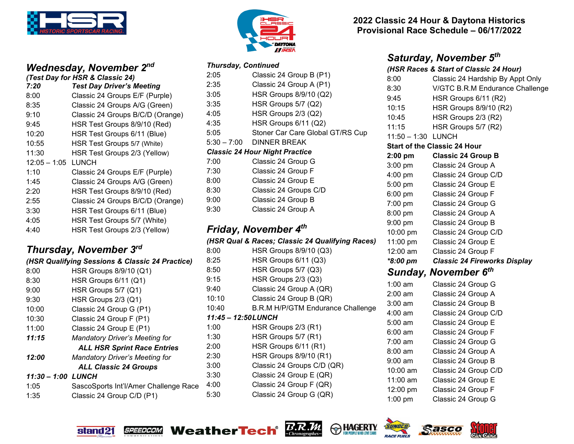

### *Wednesday, November 2nd (Test Day for HSR & Classic 24)*

| 7:20           | <b>Test Day Driver's Meeting</b> |
|----------------|----------------------------------|
| 8:00           | Classic 24 Groups E/F (Purple)   |
| 8:35           | Classic 24 Groups A/G (Green)    |
| 9:10           | Classic 24 Groups B/C/D (Orange) |
| 9:45           | HSR Test Groups 8/9/10 (Red)     |
| 10:20          | HSR Test Groups 6/11 (Blue)      |
| 10:55          | HSR Test Groups 5/7 (White)      |
| 11:30          | HSR Test Groups 2/3 (Yellow)     |
| $12:05 - 1:05$ | <b>LUNCH</b>                     |
| 1:10           | Classic 24 Groups E/F (Purple)   |
| 1:45           | Classic 24 Groups A/G (Green)    |
| 2:20           | HSR Test Groups 8/9/10 (Red)     |
| 2:55           | Classic 24 Groups B/C/D (Orange) |
| 3:30           | HSR Test Groups 6/11 (Blue)      |
| 4:05           | HSR Test Groups 5/7 (White)      |
| 4:40           | HSR Test Groups 2/3 (Yellow)     |

# *Thursday, November 3rd*

|                                    | (HSR Qualifying Sessions & Classic 24 Practice) |  |  |  |
|------------------------------------|-------------------------------------------------|--|--|--|
| 8:00                               | HSR Groups 8/9/10 (Q1)                          |  |  |  |
| 8:30                               | HSR Groups 6/11 (Q1)                            |  |  |  |
| 9:00                               | HSR Groups 5/7 (Q1)                             |  |  |  |
| 9:30                               | HSR Groups 2/3 (Q1)                             |  |  |  |
| 10:00                              | Classic 24 Group G (P1)                         |  |  |  |
| 10:30                              | Classic 24 Group F (P1)                         |  |  |  |
| 11:00                              | Classic 24 Group E (P1)                         |  |  |  |
| 11:15                              | <b>Mandatory Driver's Meeting for</b>           |  |  |  |
| <b>ALL HSR Sprint Race Entries</b> |                                                 |  |  |  |
| 12:00                              | <b>Mandatory Driver's Meeting for</b>           |  |  |  |
| <b>ALL Classic 24 Groups</b>       |                                                 |  |  |  |
| 11:30 - 1:00 LUNCH                 |                                                 |  |  |  |
| 1:05                               | SascoSports Int'l/Amer Challenge Race           |  |  |  |
| 1:35                               | Classic 24 Group C/D (P1)                       |  |  |  |



#### *Thursday, Continued*

| 2:05                | Classic 24 Group B (P1)                         |
|---------------------|-------------------------------------------------|
| 2:35                | Classic 24 Group A (P1)                         |
| 3:05                | HSR Groups 8/9/10 (Q2)                          |
| 3:35                | HSR Groups 5/7 (Q2)                             |
| 4:05                | HSR Groups 2/3 (Q2)                             |
| 4:35                | HSR Groups 6/11 (Q2)                            |
| 5:05                | Stoner Car Care Global GT/RS Cup                |
| $5:30 - 7:00$       | <b>DINNER BREAK</b>                             |
|                     | <b>Classic 24 Hour Night Practice</b>           |
| 7:00                | Classic 24 Group G                              |
| 7:30                | Classic 24 Group F                              |
| 8:00                | Classic 24 Group E                              |
| 8:30                | Classic 24 Groups C/D                           |
| 9:00                | Classic 24 Group B                              |
| 9:30                | Classic 24 Group A                              |
|                     | Friday, November 4 <sup>th</sup>                |
|                     | (HSR Qual & Races; Classic 24 Qualifying Races) |
| 8:00                | HSR Groups 8/9/10 (Q3)                          |
| 8:25                | HSR Groups 6/11 (Q3)                            |
| 8:50                | HSR Groups 5/7 (Q3)                             |
| 9:15                | HSR Groups 2/3 (Q3)                             |
| 9:40                | Classic 24 Group A (QR)                         |
| 10:10               | Classic 24 Group B (QR)                         |
| 10:40               | <b>B.R.M H/P/GTM Endurance Challenge</b>        |
| 11:45 - 12:50 LUNCH |                                                 |
| 1:00                | HSR Groups 2/3 (R1)                             |
| 1:30                | HSR Groups 5/7 (R1)                             |
| 2:00                | HSR Groups 6/11 (R1)                            |
| 2:30                | HSR Groups 8/9/10 (R1)                          |
| 3:00                | Classic 24 Groups C/D (QR)                      |
| 3:30                | Classic 24 Group E (QR)                         |
| 4:00                | Classic 24 Group F (QR)                         |
| 5:30                | Classic 24 Group G (QR)                         |

### **2022 Classic 24 Hour & Daytona Historics Provisional Race Schedule – 06/17/2022**

# *Saturday, November 5th*

### *(HSR Races & Start of Classic 24 Hour)*

| 8:00<br>8:30<br>9:45<br>10:15<br>10:45<br>11:15<br>$11:50 - 1:30$<br>$2:00$ pm<br>3:00 pm | Classic 24 Hardship By Appt Only<br>V/GTC B.R.M Endurance Challenge<br>HSR Groups 6/11 (R2)<br><b>HSR Groups 8/9/10 (R2)</b><br>HSR Groups 2/3 (R2)<br>HSR Groups 5/7 (R2)<br><b>LUNCH</b><br><b>Start of the Classic 24 Hour</b><br><b>Classic 24 Group B</b> |
|-------------------------------------------------------------------------------------------|----------------------------------------------------------------------------------------------------------------------------------------------------------------------------------------------------------------------------------------------------------------|
|                                                                                           |                                                                                                                                                                                                                                                                |
|                                                                                           |                                                                                                                                                                                                                                                                |
|                                                                                           |                                                                                                                                                                                                                                                                |
|                                                                                           |                                                                                                                                                                                                                                                                |
|                                                                                           |                                                                                                                                                                                                                                                                |
|                                                                                           |                                                                                                                                                                                                                                                                |
|                                                                                           |                                                                                                                                                                                                                                                                |
|                                                                                           |                                                                                                                                                                                                                                                                |
|                                                                                           |                                                                                                                                                                                                                                                                |
|                                                                                           | Classic 24 Group A                                                                                                                                                                                                                                             |
| 4:00 pm                                                                                   | Classic 24 Group C/D                                                                                                                                                                                                                                           |
| 5:00 pm                                                                                   | Classic 24 Group E                                                                                                                                                                                                                                             |
|                                                                                           | Classic 24 Group F                                                                                                                                                                                                                                             |
| $7:00$ pm                                                                                 | Classic 24 Group G                                                                                                                                                                                                                                             |
| $8:00$ pm                                                                                 | Classic 24 Group A                                                                                                                                                                                                                                             |
|                                                                                           | Classic 24 Group B                                                                                                                                                                                                                                             |
|                                                                                           | Classic 24 Group C/D                                                                                                                                                                                                                                           |
|                                                                                           | Classic 24 Group E                                                                                                                                                                                                                                             |
|                                                                                           | Classic 24 Group F                                                                                                                                                                                                                                             |
|                                                                                           | <b>Classic 24 Fireworks Display</b>                                                                                                                                                                                                                            |
|                                                                                           | Sunday, November 6 <sup>th</sup>                                                                                                                                                                                                                               |
| $1:00$ am                                                                                 | Classic 24 Group G                                                                                                                                                                                                                                             |
| 2:00 am                                                                                   | Classic 24 Group A                                                                                                                                                                                                                                             |
| $3:00$ am                                                                                 | Classic 24 Group B                                                                                                                                                                                                                                             |
| 4:00 am                                                                                   | Classic 24 Group C/D                                                                                                                                                                                                                                           |
| 5:00 am                                                                                   | Classic 24 Group E                                                                                                                                                                                                                                             |
| 6:00 am                                                                                   | Classic 24 Group F                                                                                                                                                                                                                                             |
| 7:00 am                                                                                   | Classic 24 Group G                                                                                                                                                                                                                                             |
| 8:00 am                                                                                   | Classic 24 Group A                                                                                                                                                                                                                                             |
| 9:00 am                                                                                   | Classic 24 Group B                                                                                                                                                                                                                                             |
| 10:00 am                                                                                  | Classic 24 Group C/D                                                                                                                                                                                                                                           |
| 11:00 am                                                                                  | Classic 24 Group E                                                                                                                                                                                                                                             |
| 12:00 pm                                                                                  | Classic 24 Group F                                                                                                                                                                                                                                             |
|                                                                                           | Classic 24 Group G                                                                                                                                                                                                                                             |
|                                                                                           | $6:00$ pm<br>$9:00$ pm<br>10:00 pm<br>11:00 pm<br>12:00 am<br>*8:00 pm<br>1:00 pm                                                                                                                                                                              |